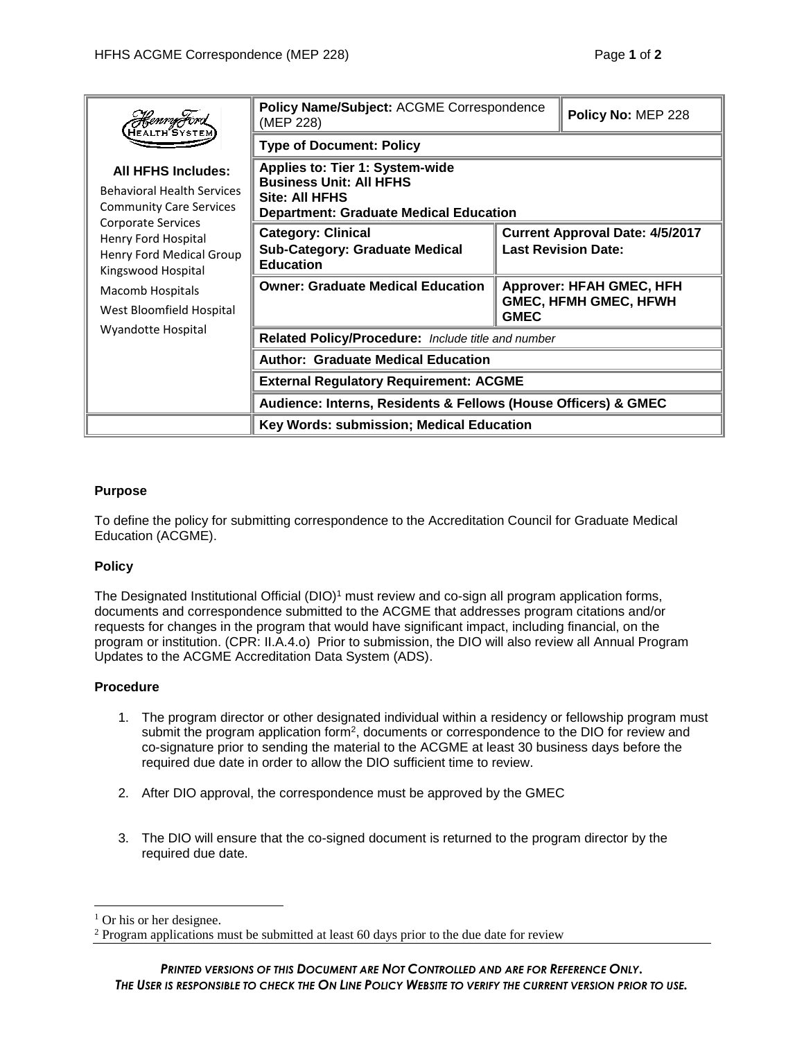| <i>COU-H JOV</i><br>HEALTH SYSTE<br><b>All HFHS Includes:</b><br><b>Behavioral Health Services</b><br><b>Community Care Services</b><br>Corporate Services<br>Henry Ford Hospital<br>Henry Ford Medical Group<br>Kingswood Hospital<br>Macomb Hospitals<br>West Bloomfield Hospital<br>Wyandotte Hospital | Policy Name/Subject: ACGME Correspondence<br>(MEP 228)                                                                                             |                                                                                | Policy No: MEP 228 |
|-----------------------------------------------------------------------------------------------------------------------------------------------------------------------------------------------------------------------------------------------------------------------------------------------------------|----------------------------------------------------------------------------------------------------------------------------------------------------|--------------------------------------------------------------------------------|--------------------|
|                                                                                                                                                                                                                                                                                                           | <b>Type of Document: Policy</b>                                                                                                                    |                                                                                |                    |
|                                                                                                                                                                                                                                                                                                           | <b>Applies to: Tier 1: System-wide</b><br><b>Business Unit: All HFHS</b><br><b>Site: All HFHS</b><br><b>Department: Graduate Medical Education</b> |                                                                                |                    |
|                                                                                                                                                                                                                                                                                                           | <b>Category: Clinical</b><br><b>Sub-Category: Graduate Medical</b><br><b>Education</b>                                                             | <b>Current Approval Date: 4/5/2017</b><br><b>Last Revision Date:</b>           |                    |
|                                                                                                                                                                                                                                                                                                           | <b>Owner: Graduate Medical Education</b>                                                                                                           | <b>Approver: HFAH GMEC, HFH</b><br><b>GMEC, HFMH GMEC, HFWH</b><br><b>GMEC</b> |                    |
|                                                                                                                                                                                                                                                                                                           | Related Policy/Procedure: Include title and number                                                                                                 |                                                                                |                    |
|                                                                                                                                                                                                                                                                                                           | <b>Author: Graduate Medical Education</b>                                                                                                          |                                                                                |                    |
|                                                                                                                                                                                                                                                                                                           | <b>External Regulatory Requirement: ACGME</b>                                                                                                      |                                                                                |                    |
|                                                                                                                                                                                                                                                                                                           | Audience: Interns, Residents & Fellows (House Officers) & GMEC                                                                                     |                                                                                |                    |
|                                                                                                                                                                                                                                                                                                           | Key Words: submission; Medical Education                                                                                                           |                                                                                |                    |

## **Purpose**

To define the policy for submitting correspondence to the Accreditation Council for Graduate Medical Education (ACGME).

## **Policy**

The Designated Institutional Official (DIO)<sup>1</sup> must review and co-sign all program application forms, documents and correspondence submitted to the ACGME that addresses program citations and/or requests for changes in the program that would have significant impact, including financial, on the program or institution. (CPR: II.A.4.o) Prior to submission, the DIO will also review all Annual Program Updates to the ACGME Accreditation Data System (ADS).

## **Procedure**

- 1. The program director or other designated individual within a residency or fellowship program must submit the program application form<sup>2</sup>, documents or correspondence to the DIO for review and co-signature prior to sending the material to the ACGME at least 30 business days before the required due date in order to allow the DIO sufficient time to review.
- 2. After DIO approval, the correspondence must be approved by the GMEC
- 3. The DIO will ensure that the co-signed document is returned to the program director by the required due date.

 $\overline{a}$ 

 $<sup>1</sup>$  Or his or her designee.</sup>

<sup>2</sup> Program applications must be submitted at least 60 days prior to the due date for review